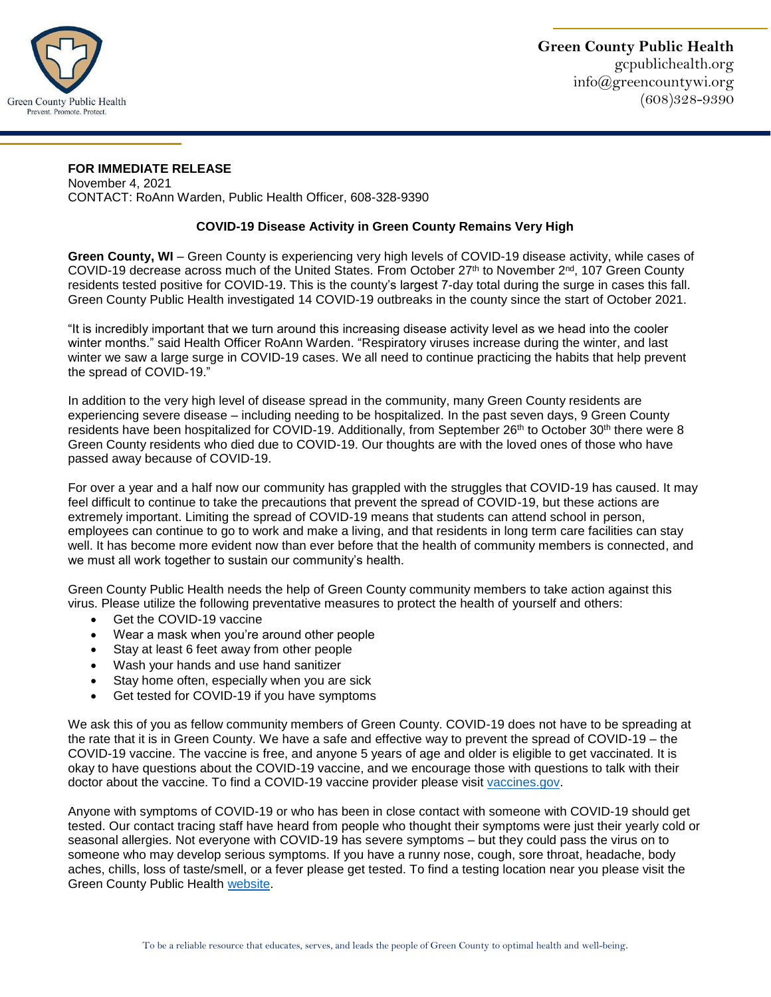

## **FOR IMMEDIATE RELEASE**

November 4, 2021 CONTACT: RoAnn Warden, Public Health Officer, 608-328-9390

## **COVID-19 Disease Activity in Green County Remains Very High**

**Green County, WI** – Green County is experiencing very high levels of COVID-19 disease activity, while cases of COVID-19 decrease across much of the United States. From October 27<sup>th</sup> to November 2<sup>nd</sup>, 107 Green County residents tested positive for COVID-19. This is the county's largest 7-day total during the surge in cases this fall. Green County Public Health investigated 14 COVID-19 outbreaks in the county since the start of October 2021.

"It is incredibly important that we turn around this increasing disease activity level as we head into the cooler winter months." said Health Officer RoAnn Warden. "Respiratory viruses increase during the winter, and last winter we saw a large surge in COVID-19 cases. We all need to continue practicing the habits that help prevent the spread of COVID-19."

In addition to the very high level of disease spread in the community, many Green County residents are experiencing severe disease – including needing to be hospitalized. In the past seven days, 9 Green County residents have been hospitalized for COVID-19. Additionally, from September 26<sup>th</sup> to October 30<sup>th</sup> there were 8 Green County residents who died due to COVID-19. Our thoughts are with the loved ones of those who have passed away because of COVID-19.

For over a year and a half now our community has grappled with the struggles that COVID-19 has caused. It may feel difficult to continue to take the precautions that prevent the spread of COVID-19, but these actions are extremely important. Limiting the spread of COVID-19 means that students can attend school in person, employees can continue to go to work and make a living, and that residents in long term care facilities can stay well. It has become more evident now than ever before that the health of community members is connected, and we must all work together to sustain our community's health.

Green County Public Health needs the help of Green County community members to take action against this virus. Please utilize the following preventative measures to protect the health of yourself and others:

- Get the COVID-19 vaccine
- Wear a mask when you're around other people
- Stay at least 6 feet away from other people
- Wash your hands and use hand sanitizer
- Stay home often, especially when you are sick
- Get tested for COVID-19 if you have symptoms

We ask this of you as fellow community members of Green County. COVID-19 does not have to be spreading at the rate that it is in Green County. We have a safe and effective way to prevent the spread of COVID-19 – the COVID-19 vaccine. The vaccine is free, and anyone 5 years of age and older is eligible to get vaccinated. It is okay to have questions about the COVID-19 vaccine, and we encourage those with questions to talk with their doctor about the vaccine. To find a COVID-19 vaccine provider please visit [vaccines.gov.](https://www.vaccines.gov/)

Anyone with symptoms of COVID-19 or who has been in close contact with someone with COVID-19 should get tested. Our contact tracing staff have heard from people who thought their symptoms were just their yearly cold or seasonal allergies. Not everyone with COVID-19 has severe symptoms – but they could pass the virus on to someone who may develop serious symptoms. If you have a runny nose, cough, sore throat, headache, body aches, chills, loss of taste/smell, or a fever please get tested. To find a testing location near you please visit the Green County Public Health [website.](https://gcpublichealth.org/)